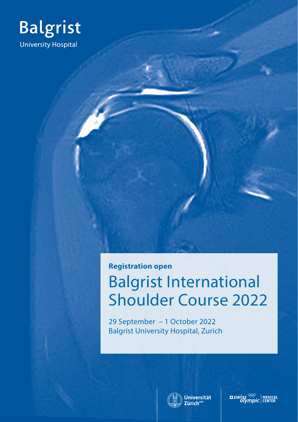

## **Registration open**

# Balgrist International Shoulder Course 2022

29 September – 1 October 2022 Balgrist University Hospital, Zurich



**ELENVISS**  $\frac{\infty}{\infty}$  MEDICAL Olympic CENTER